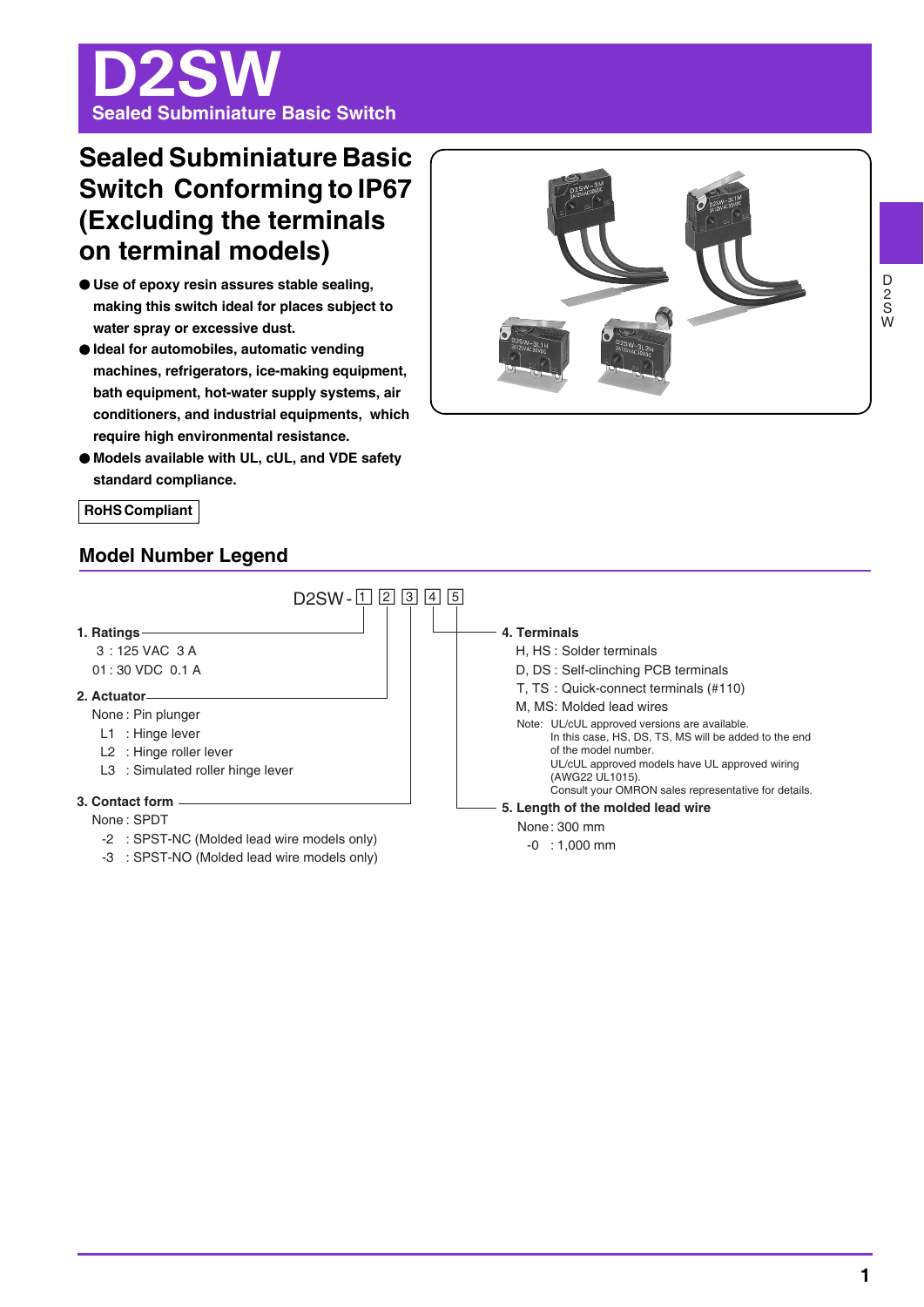# D2SW **Sealed Subminiature Basic Switch**

## **Sealed Subminiature Basic Switch Conforming to IP67 (Excluding the terminals on terminal models)**

- O **Use of epoxy resin assures stable sealing, making this switch ideal for places subject to water spray or excessive dust.**
- O **Ideal for automobiles, automatic vending machines, refrigerators, ice-making equipment, bath equipment, hot-water supply systems, air conditioners, and industrial equipments, which require high environmental resistance.**
- O **Models available with UL, cUL, and VDE safety standard compliance.**



**RoHS Compliant** 

## **Model Number Legend**

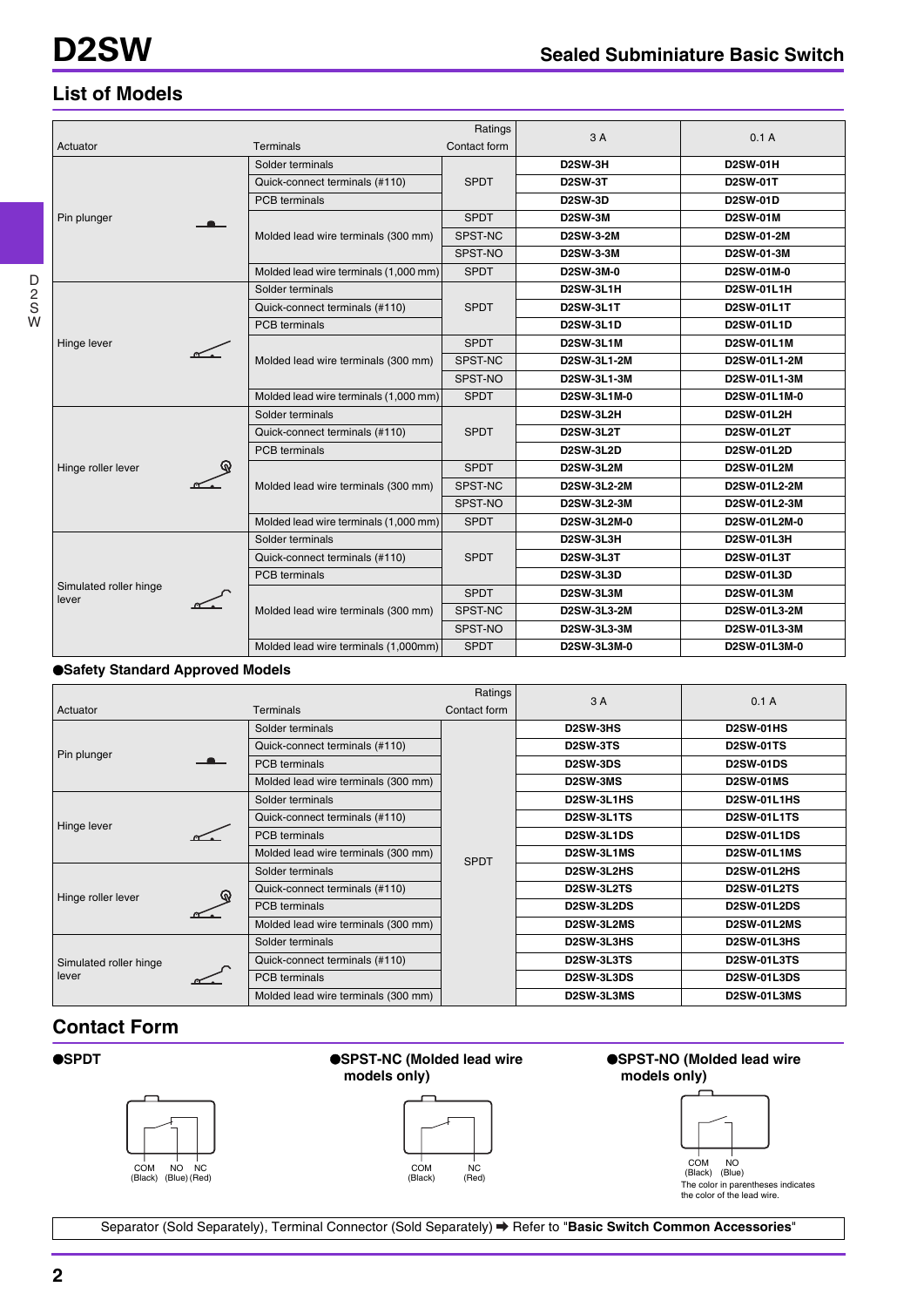## **List of Models**

|                                 |  |                                       | Ratings      |                    |                   |
|---------------------------------|--|---------------------------------------|--------------|--------------------|-------------------|
| Actuator                        |  | <b>Terminals</b>                      | Contact form | 3A                 | 0.1A              |
|                                 |  | Solder terminals                      |              | D2SW-3H            | <b>D2SW-01H</b>   |
|                                 |  | Quick-connect terminals (#110)        | <b>SPDT</b>  | <b>D2SW-3T</b>     | <b>D2SW-01T</b>   |
|                                 |  | PCB terminals                         |              | <b>D2SW-3D</b>     | <b>D2SW-01D</b>   |
| Pin plunger                     |  |                                       | <b>SPDT</b>  | <b>D2SW-3M</b>     | <b>D2SW-01M</b>   |
|                                 |  | Molded lead wire terminals (300 mm)   | SPST-NC      | <b>D2SW-3-2M</b>   | D2SW-01-2M        |
|                                 |  |                                       | SPST-NO      | <b>D2SW-3-3M</b>   | D2SW-01-3M        |
|                                 |  | Molded lead wire terminals (1,000 mm) | <b>SPDT</b>  | D2SW-3M-0          | D2SW-01M-0        |
|                                 |  | Solder terminals                      |              | <b>D2SW-3L1H</b>   | <b>D2SW-01L1H</b> |
|                                 |  | Quick-connect terminals (#110)        | <b>SPDT</b>  | <b>D2SW-3L1T</b>   | D2SW-01L1T        |
|                                 |  | <b>PCB</b> terminals                  |              | <b>D2SW-3L1D</b>   | <b>D2SW-01L1D</b> |
| Hinge lever                     |  | Molded lead wire terminals (300 mm)   | <b>SPDT</b>  | <b>D2SW-3L1M</b>   | <b>D2SW-01L1M</b> |
|                                 |  |                                       | SPST-NC      | <b>D2SW-3L1-2M</b> | D2SW-01L1-2M      |
|                                 |  |                                       | SPST-NO      | <b>D2SW-3L1-3M</b> | D2SW-01L1-3M      |
|                                 |  | Molded lead wire terminals (1,000 mm) | <b>SPDT</b>  | D2SW-3L1M-0        | D2SW-01L1M-0      |
|                                 |  | Solder terminals                      | <b>SPDT</b>  | <b>D2SW-3L2H</b>   | <b>D2SW-01L2H</b> |
|                                 |  | Quick-connect terminals (#110)        |              | <b>D2SW-3L2T</b>   | <b>D2SW-01L2T</b> |
|                                 |  | <b>PCB</b> terminals                  |              | <b>D2SW-3L2D</b>   | <b>D2SW-01L2D</b> |
| Hinge roller lever              |  |                                       | <b>SPDT</b>  | <b>D2SW-3L2M</b>   | <b>D2SW-01L2M</b> |
|                                 |  | Molded lead wire terminals (300 mm)   | SPST-NC      | D2SW-3L2-2M        | D2SW-01L2-2M      |
|                                 |  |                                       | SPST-NO      | <b>D2SW-3L2-3M</b> | D2SW-01L2-3M      |
|                                 |  | Molded lead wire terminals (1,000 mm) | <b>SPDT</b>  | D2SW-3L2M-0        | D2SW-01L2M-0      |
|                                 |  | Solder terminals                      |              | D2SW-3L3H          | <b>D2SW-01L3H</b> |
|                                 |  | Quick-connect terminals (#110)        | <b>SPDT</b>  | <b>D2SW-3L3T</b>   | <b>D2SW-01L3T</b> |
|                                 |  | <b>PCB</b> terminals                  |              | <b>D2SW-3L3D</b>   | <b>D2SW-01L3D</b> |
| Simulated roller hinge<br>lever |  |                                       | <b>SPDT</b>  | D2SW-3L3M          | <b>D2SW-01L3M</b> |
|                                 |  | Molded lead wire terminals (300 mm)   | SPST-NC      | D2SW-3L3-2M        | D2SW-01L3-2M      |
|                                 |  |                                       | SPST-NO      | D2SW-3L3-3M        | D2SW-01L3-3M      |
|                                 |  | Molded lead wire terminals (1,000mm)  | <b>SPDT</b>  | D2SW-3L3M-0        | D2SW-01L3M-0      |

#### O**Safety Standard Approved Models**

|                        |                | Ratings                             | 3A           | 0.1A                  |                    |
|------------------------|----------------|-------------------------------------|--------------|-----------------------|--------------------|
| Actuator               |                | <b>Terminals</b>                    | Contact form |                       |                    |
|                        |                | Solder terminals                    |              | D <sub>2</sub> SW-3HS | <b>D2SW-01HS</b>   |
| Pin plunger            |                | Quick-connect terminals (#110)      |              | D <sub>2</sub> SW-3TS | <b>D2SW-01TS</b>   |
|                        | $\blacksquare$ | <b>PCB</b> terminals                |              | <b>D2SW-3DS</b>       | <b>D2SW-01DS</b>   |
|                        |                | Molded lead wire terminals (300 mm) |              | <b>D2SW-3MS</b>       | <b>D2SW-01MS</b>   |
|                        |                | Solder terminals                    |              | D2SW-3L1HS            | D2SW-01L1HS        |
| Hinge lever            |                | Quick-connect terminals (#110)      | <b>SPDT</b>  | D2SW-3L1TS            | <b>D2SW-01L1TS</b> |
|                        |                | <b>PCB</b> terminals                |              | D2SW-3L1DS            | <b>D2SW-01L1DS</b> |
|                        |                | Molded lead wire terminals (300 mm) |              | D2SW-3L1MS            | D2SW-01L1MS        |
|                        |                | Solder terminals                    |              | D2SW-3L2HS            | <b>D2SW-01L2HS</b> |
| Hinge roller lever     |                | Quick-connect terminals (#110)      |              | D2SW-3L2TS            | <b>D2SW-01L2TS</b> |
|                        |                | <b>PCB</b> terminals                |              | D2SW-3L2DS            | <b>D2SW-01L2DS</b> |
|                        |                | Molded lead wire terminals (300 mm) |              | D2SW-3L2MS            | <b>D2SW-01L2MS</b> |
| Simulated roller hinge |                | Solder terminals                    |              | D2SW-3L3HS            | <b>D2SW-01L3HS</b> |
|                        |                | Quick-connect terminals (#110)      |              | <b>D2SW-3L3TS</b>     | <b>D2SW-01L3TS</b> |
| lever                  |                | <b>PCB</b> terminals                |              | D2SW-3L3DS            | <b>D2SW-01L3DS</b> |
|                        |                | Molded lead wire terminals (300 mm) |              | D2SW-3L3MS            | D2SW-01L3MS        |

## **Contact Form**



Separator (Sold Separately), Terminal Connector (Sold Separately) Refer to "**Basic Switch Common Accessories**"

D 2 S W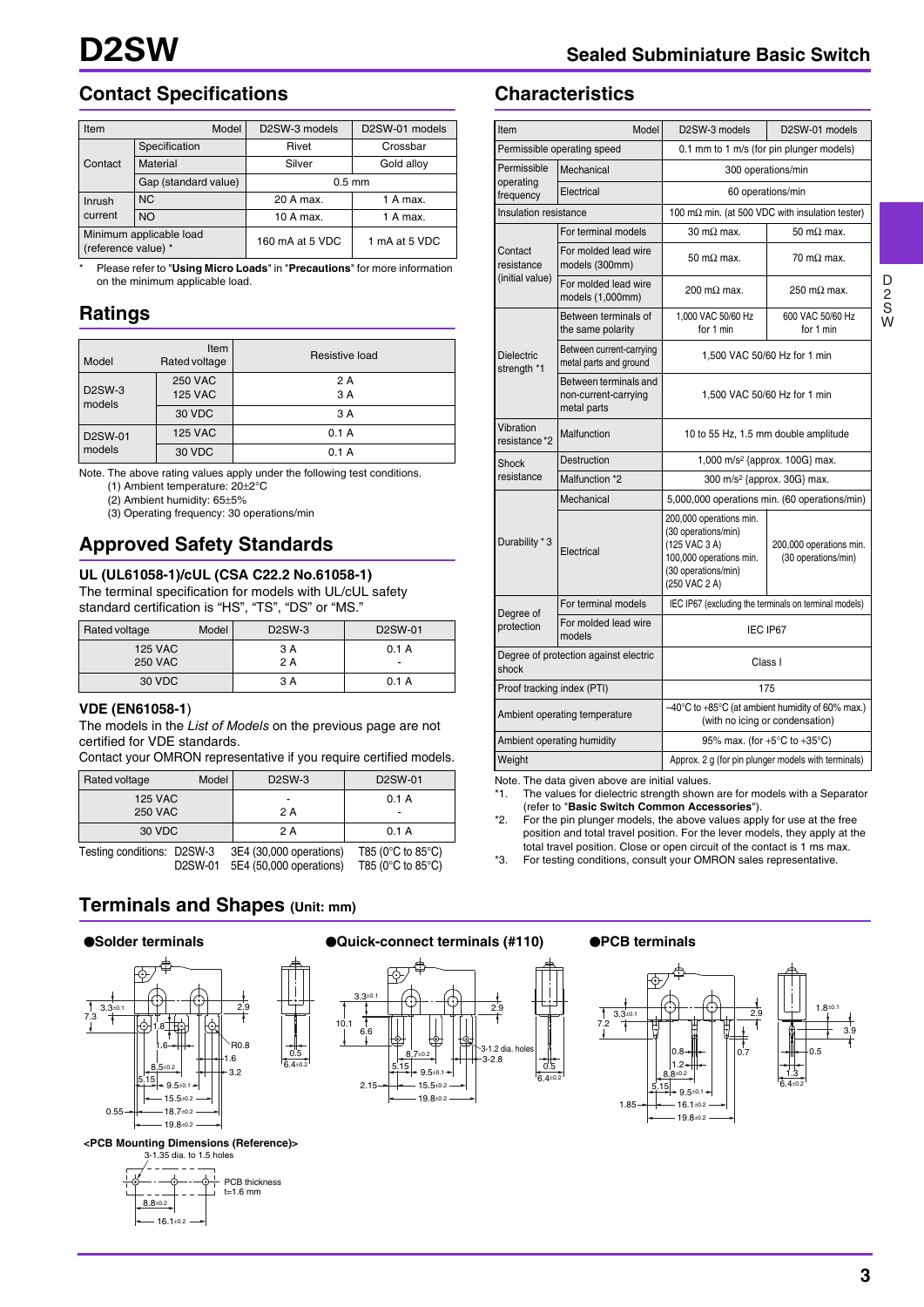## **Contact Specifications**

| Item                                           | Model                | D2SW-3 models    | D <sub>2</sub> SW-01 models |  |
|------------------------------------------------|----------------------|------------------|-----------------------------|--|
|                                                | Specification        | Rivet            | Crossbar                    |  |
| Contact                                        | Material             | Silver           | Gold alloy                  |  |
|                                                | Gap (standard value) | $0.5 \text{ mm}$ |                             |  |
| Inrush                                         | <b>NC</b>            | 20 A max.        |                             |  |
| current                                        | <b>NO</b>            | 10 A max.        | 1 A max.                    |  |
| Minimum applicable load<br>(reference value) * |                      | 160 mA at 5 VDC  | 1 mA at 5 VDC               |  |

\* Please refer to "**Using Micro Loads**" in "**Precautions**" for more information on the minimum applicable load.

## **Ratings**

| Model                   | Item<br>Rated voltage            | Resistive load |
|-------------------------|----------------------------------|----------------|
| <b>D2SW-3</b><br>models | <b>250 VAC</b><br><b>125 VAC</b> | 2 A<br>3 A     |
|                         | 30 VDC                           | 3 A            |
| D2SW-01                 | <b>125 VAC</b>                   | 0.1A           |
| models                  | 30 VDC                           | 0.1A           |

Note. The above rating values apply under the following test conditions.

(1) Ambient temperature: 20±2°C

(2) Ambient humidity: 65±5%

(3) Operating frequency: 30 operations/min

## **Approved Safety Standards**

#### **UL (UL61058-1)/cUL (CSA C22.2 No.61058-1)**

The terminal specification for models with UL/cUL safety standard certification is "HS", "TS", "DS" or "MS."

| Rated voltage                    | Model | <b>D2SW-3</b> | D <sub>2</sub> SW-01 |
|----------------------------------|-------|---------------|----------------------|
| <b>125 VAC</b><br><b>250 VAC</b> |       | 3 A<br>2 A    | 0.1 A                |
| 30 VDC                           |       | 3 A           | 0.1 A                |

#### **VDE (EN61058-1**)

The models in the *List of Models* on the previous page are not certified for VDE standards.

Contact your OMRON representative if you require certified models.

| Rated voltage  | Model | D <sub>2</sub> SW-3 | D <sub>2</sub> SW-01 |
|----------------|-------|---------------------|----------------------|
| <b>125 VAC</b> |       |                     | А                    |

| <b>250 VAC</b>             |                      | 2 A                                                |                                                                                    |
|----------------------------|----------------------|----------------------------------------------------|------------------------------------------------------------------------------------|
| 30 VDC                     |                      | 2 A                                                | 0.1 A                                                                              |
| Testing conditions: D2SW-3 | D <sub>2</sub> SW-01 | 3E4 (30,000 operations)<br>5E4 (50,000 operations) | T85 ( $0^{\circ}$ C to 85 $^{\circ}$ C)<br>T85 ( $0^{\circ}$ C to 85 $^{\circ}$ C) |

0.5 6.4±0.2

## **Terminals and Shapes (Unit: mm)**

#### O**Solder terminals**



**<PCB Mounting Dimensions (Reference)>** 3-1.35 dia. to 1.5 holes



#### O**Quick-connect terminals (#110)** O**PCB terminals**





D 2 S W

## **Characteristics**

| Item<br>Model                                             |                                                              | D2SW-3 models<br>D2SW-01 models                                                                                                    |                                                         |  |  |
|-----------------------------------------------------------|--------------------------------------------------------------|------------------------------------------------------------------------------------------------------------------------------------|---------------------------------------------------------|--|--|
|                                                           | Permissible operating speed                                  | 0.1 mm to 1 m/s (for pin plunger models)                                                                                           |                                                         |  |  |
| Permissible                                               | Mechanical                                                   | 300 operations/min                                                                                                                 |                                                         |  |  |
| operating<br>frequency                                    | Electrical                                                   |                                                                                                                                    | 60 operations/min                                       |  |  |
| Insulation resistance                                     |                                                              |                                                                                                                                    | 100 m $\Omega$ min. (at 500 VDC with insulation tester) |  |  |
|                                                           | For terminal models                                          | $30 \text{ m}\Omega$ max.                                                                                                          | 50 m $\Omega$ max.                                      |  |  |
| Contact<br>resistance                                     | For molded lead wire<br>models (300mm)                       | $50 \text{ m}\Omega$ max.                                                                                                          | $70 \text{ m}\Omega$ max.                               |  |  |
| (initial value)                                           | For molded lead wire<br>models (1,000mm)                     | 200 m $\Omega$ max.                                                                                                                | $250 \text{ m}\Omega$ max.                              |  |  |
|                                                           | Between terminals of<br>the same polarity                    | 1,000 VAC 50/60 Hz<br>for 1 min                                                                                                    | 600 VAC 50/60 Hz<br>for 1 min                           |  |  |
| <b>Dielectric</b><br>strength *1                          | Between current-carrying<br>metal parts and ground           |                                                                                                                                    | 1.500 VAC 50/60 Hz for 1 min                            |  |  |
|                                                           | Between terminals and<br>non-current-carrying<br>metal parts | 1,500 VAC 50/60 Hz for 1 min                                                                                                       |                                                         |  |  |
| Vibration<br>resistance*2                                 | Malfunction                                                  | 10 to 55 Hz, 1.5 mm double amplitude                                                                                               |                                                         |  |  |
| Shock                                                     | Destruction                                                  | 1,000 m/s <sup>2</sup> {approx. 100G} max.                                                                                         |                                                         |  |  |
| resistance                                                | Malfunction *2                                               | 300 m/s <sup>2</sup> {approx. 30G} max.                                                                                            |                                                         |  |  |
|                                                           | Mechanical                                                   | 5,000,000 operations min. (60 operations/min)                                                                                      |                                                         |  |  |
| Durability * 3<br>Electrical                              |                                                              | 200,000 operations min.<br>(30 operations/min)<br>(125 VAC 3 A)<br>100,000 operations min.<br>(30 operations/min)<br>(250 VAC 2 A) | 200,000 operations min.<br>(30 operations/min)          |  |  |
|                                                           | For terminal models                                          |                                                                                                                                    | IEC IP67 (excluding the terminals on terminal models)   |  |  |
| Degree of<br>For molded lead wire<br>protection<br>models |                                                              | IEC IP67                                                                                                                           |                                                         |  |  |
| Degree of protection against electric<br>shock            |                                                              | Class I                                                                                                                            |                                                         |  |  |
| Proof tracking index (PTI)                                |                                                              |                                                                                                                                    | 175                                                     |  |  |
| Ambient operating temperature                             |                                                              | -40°C to +85°C (at ambient humidity of 60% max.)<br>(with no icing or condensation)                                                |                                                         |  |  |
|                                                           | Ambient operating humidity                                   | 95% max. (for +5°C to +35°C)                                                                                                       |                                                         |  |  |
| Weight                                                    |                                                              | Approx. 2 g (for pin plunger models with terminals)                                                                                |                                                         |  |  |

Note. The data given above are initial values.

\*1. The values for dielectric strength shown are for models with a Separator (refer to "**Basic Switch Common Accessories**").

\*2. For the pin plunger models, the above values apply for use at the free position and total travel position. For the lever models, they apply at the total travel position. Close or open circuit of the contact is 1 ms max.

\*3. For testing conditions, consult your OMRON sales representative.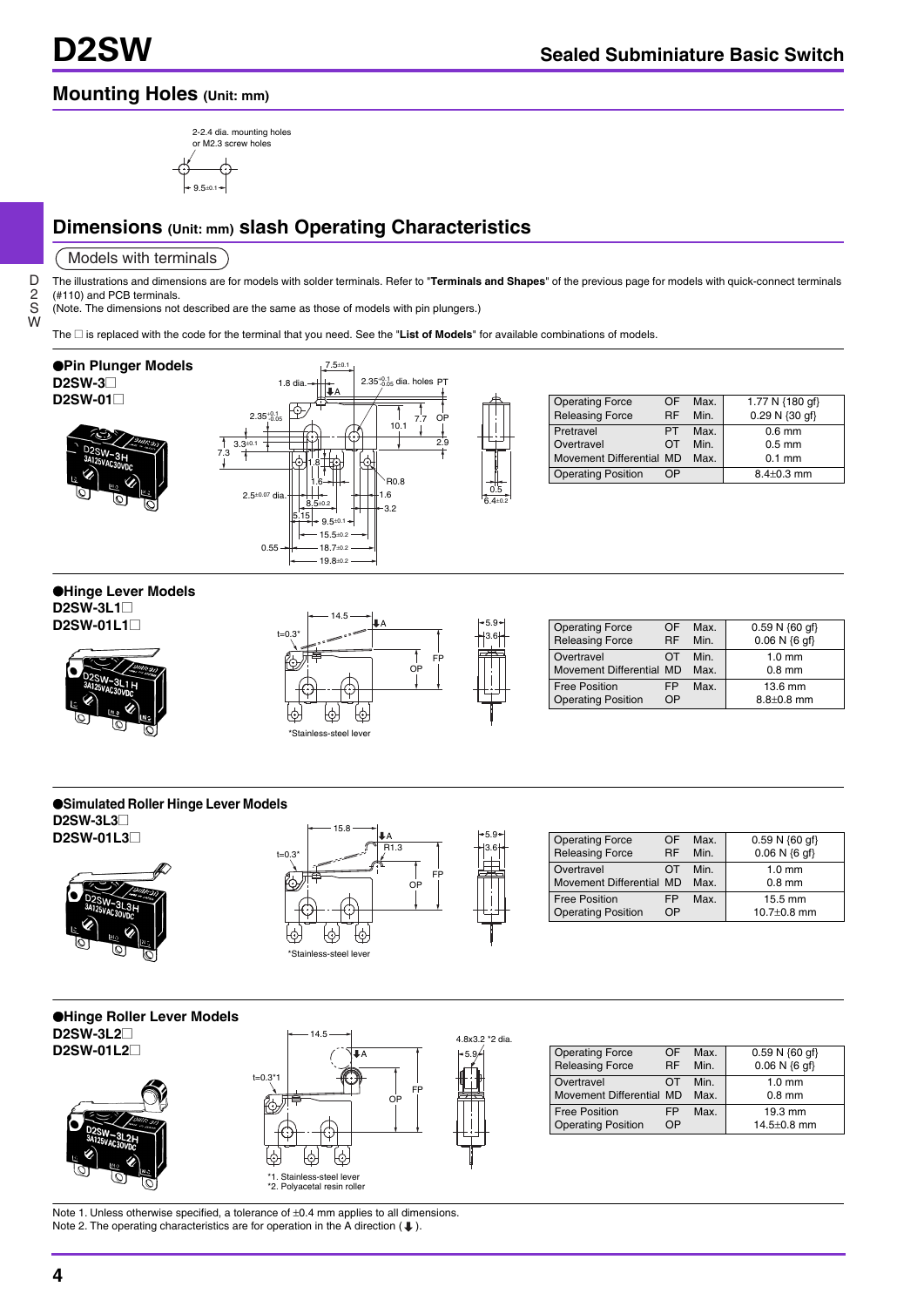## **Mounting Holes (Unit: mm)**



## **Dimensions (Unit: mm) slash Operating Characteristics**

#### Models with terminals

D 2 S W The illustrations and dimensions are for models with solder terminals. Refer to "**Terminals and Shapes**" of the previous page for models with quick-connect terminals (#110) and PCB terminals.

6.4±0.2

(Note. The dimensions not described are the same as those of models with pin plungers.)

The @ is replaced with the code for the terminal that you need. See the "**List of Models**" for available combinations of models.



| <b>Operating Force</b><br><b>Releasing Force</b> | ΩF<br><b>RF</b> | Max.<br>Min. | 1.77 N {180 gf}<br>0.29 N {30 qf} |
|--------------------------------------------------|-----------------|--------------|-----------------------------------|
| Pretravel                                        | PT.             | Max.         | $0.6$ mm                          |
| Overtravel                                       | ΩT              | Min.         | $0.5$ mm                          |
| Movement Differential MD                         |                 | Max.         | $0.1$ mm                          |
| <b>Operating Position</b>                        | חר              |              | $8.4 \pm 0.3$ mm                  |

## O**Hinge Lever Models**

**D2SW-3L1**@ **D2SW-01L1** $\square$ 





| <b>Operating Force</b><br><b>Releasing Force</b>  | ΩE<br><b>RF</b> | Max.<br>Min. | $0.59 N \{60 qf\}$<br>$0.06 N \{6 gf\}$ |
|---------------------------------------------------|-----------------|--------------|-----------------------------------------|
| Overtravel<br>Movement Differential MD            |                 | Min.<br>Max. | $1.0 \text{ mm}$<br>$0.8$ mm            |
| <b>Free Position</b><br><b>Operating Position</b> | FP<br>ΩP        | Max.         | $13.6 \text{ mm}$<br>$8.8 + 0.8$ mm     |

#### O**Simulated Roller Hinge Lever Models D2SW-3L3**@







| <b>Operating Force</b><br><b>Releasing Force</b>  | ΩF<br><b>RF</b> | Max.<br>Min. | $0.59 N \{60 \text{ of}\}$<br>$0.06 N$ {6 qf} |
|---------------------------------------------------|-----------------|--------------|-----------------------------------------------|
| Overtravel<br>Movement Differential MD            |                 | Min.<br>Max  | $1.0 \text{ mm}$<br>$0.8$ mm                  |
| <b>Free Position</b><br><b>Operating Position</b> | FP<br>NΡ        | Max.         | $15.5 \text{ mm}$<br>10.7 $\pm$ 0.8 mm        |

#### O**Hinge Roller Lever Models D2SW-3L2**@ **D2SW-01L2**





| <b>Operating Force</b>    | ΩF | Max. | $0.59 N \{60 \text{ qf}\}$ |
|---------------------------|----|------|----------------------------|
| <b>Releasing Force</b>    | RF | Min. | $0.06 N {6 qf}$            |
| Overtravel                | ΩT | Min. | $1.0 \text{ mm}$           |
| Movement Differential MD  |    | Max. | $0.8$ mm                   |
| <b>Free Position</b>      | FP | Max. | 19.3 mm                    |
| <b>Operating Position</b> | ΩP |      | $14.5 \pm 0.8$ mm          |

Note 1. Unless otherwise specified, a tolerance of  $\pm 0.4$  mm applies to all dimensions. Note 2. The operating characteristics are for operation in the A direction ( $\clubsuit$ ).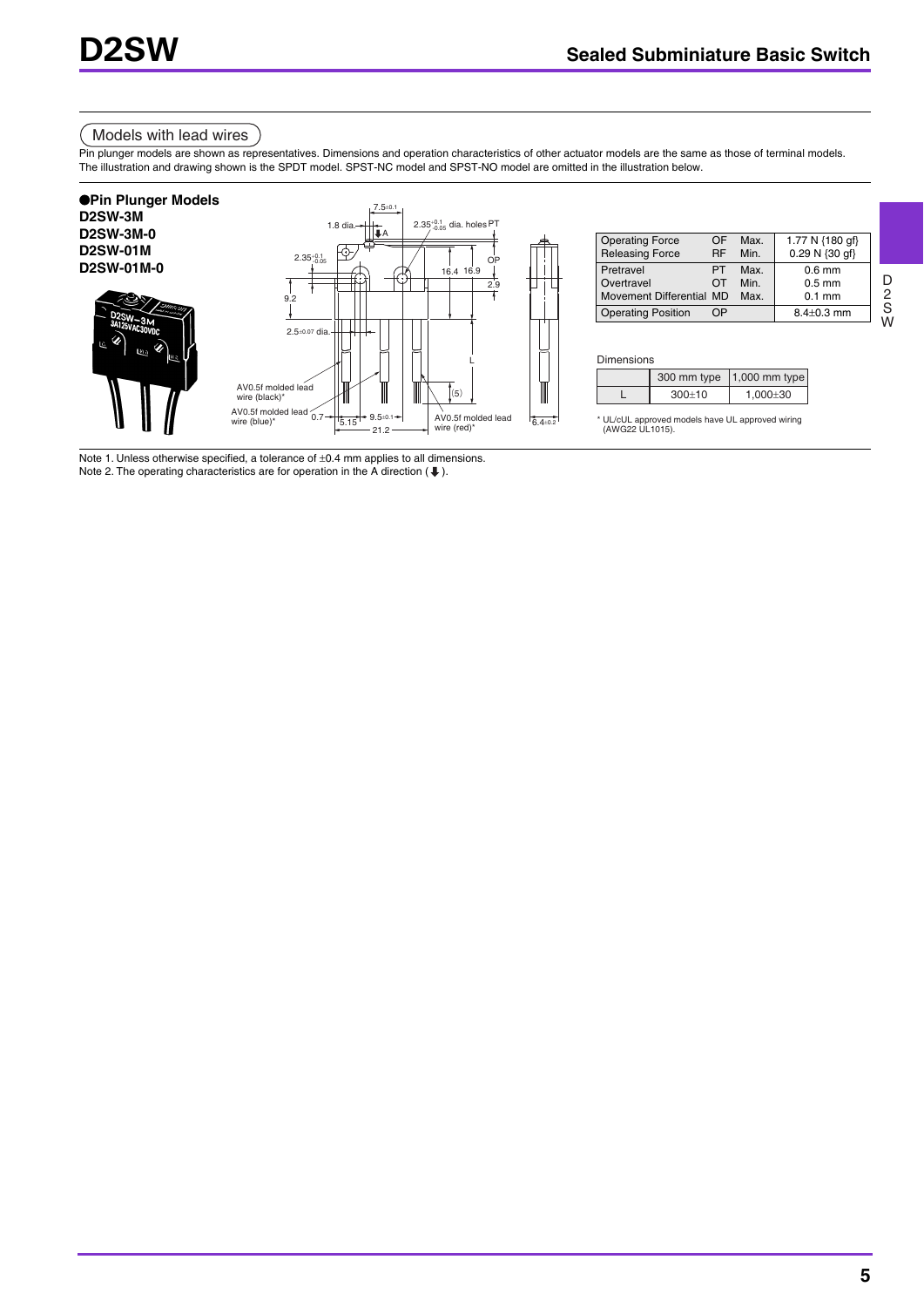## Models with lead wires

Pin plunger models are shown as representatives. Dimensions and operation characteristics of other actuator models are the same as those of terminal models. The illustration and drawing shown is the SPDT model. SPST-NC model and SPST-NO model are omitted in the illustration below.



Note 1. Unless otherwise specified, a tolerance of ±0.4 mm applies to all dimensions. Note 2. The operating characteristics are for operation in the A direction ( $\bigoplus$ ).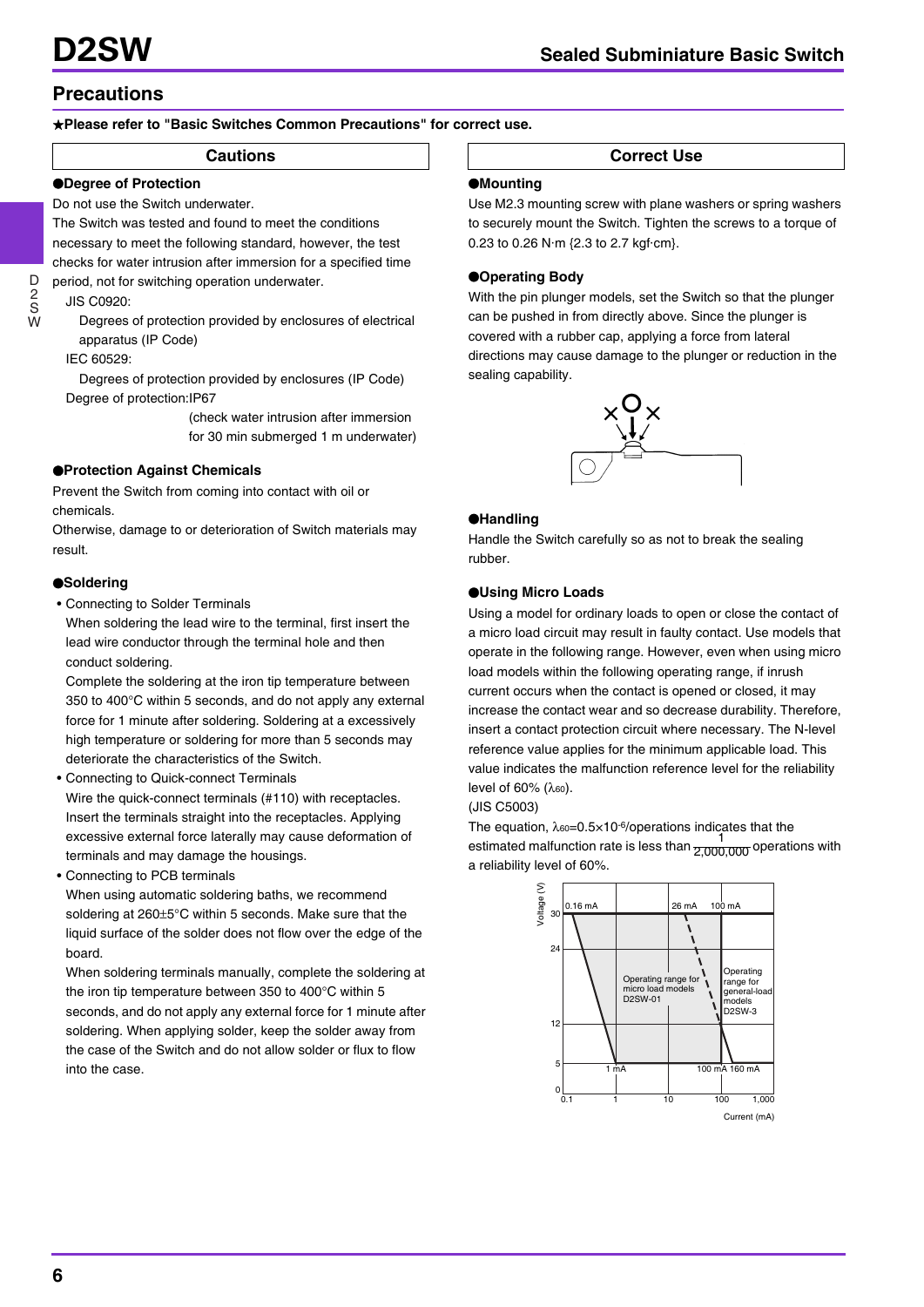## **Precautions**

## +**Please refer to "Basic Switches Common Precautions" for correct use.**

## O**Degree of Protection**

Do not use the Switch underwater.

The Switch was tested and found to meet the conditions necessary to meet the following standard, however, the test checks for water intrusion after immersion for a specified time period, not for switching operation underwater.

## JIS C0920:

Degrees of protection provided by enclosures of electrical apparatus (IP Code)

IEC 60529:

Degrees of protection provided by enclosures (IP Code) Degree of protection:IP67

> (check water intrusion after immersion for 30 min submerged 1 m underwater)

## O**Protection Against Chemicals**

Prevent the Switch from coming into contact with oil or chemicals.

Otherwise, damage to or deterioration of Switch materials may result.

## O**Soldering**

• Connecting to Solder Terminals

When soldering the lead wire to the terminal, first insert the lead wire conductor through the terminal hole and then conduct soldering.

Complete the soldering at the iron tip temperature between 350 to 400°C within 5 seconds, and do not apply any external force for 1 minute after soldering. Soldering at a excessively high temperature or soldering for more than 5 seconds may deteriorate the characteristics of the Switch.

- Connecting to Quick-connect Terminals Wire the quick-connect terminals (#110) with receptacles. Insert the terminals straight into the receptacles. Applying excessive external force laterally may cause deformation of terminals and may damage the housings.
- Connecting to PCB terminals

When using automatic soldering baths, we recommend soldering at 260±5°C within 5 seconds. Make sure that the liquid surface of the solder does not flow over the edge of the board.

When soldering terminals manually, complete the soldering at the iron tip temperature between 350 to 400°C within 5 seconds, and do not apply any external force for 1 minute after soldering. When applying solder, keep the solder away from the case of the Switch and do not allow solder or flux to flow into the case.

**Cautions Correct Use** 

#### O**Mounting**

Use M2.3 mounting screw with plane washers or spring washers to securely mount the Switch. Tighten the screws to a torque of 0.23 to 0.26 N·m {2.3 to 2.7 kgf·cm}.

## O**Operating Body**

With the pin plunger models, set the Switch so that the plunger can be pushed in from directly above. Since the plunger is covered with a rubber cap, applying a force from lateral directions may cause damage to the plunger or reduction in the sealing capability.



## O**Handling**

Handle the Switch carefully so as not to break the sealing rubber.

## O**Using Micro Loads**

Using a model for ordinary loads to open or close the contact of a micro load circuit may result in faulty contact. Use models that operate in the following range. However, even when using micro load models within the following operating range, if inrush current occurs when the contact is opened or closed, it may increase the contact wear and so decrease durability. Therefore, insert a contact protection circuit where necessary. The N-level reference value applies for the minimum applicable load. This value indicates the malfunction reference level for the reliability level of 60% (λ<sub>60</sub>).

(JIS C5003)

The equation,  $\lambda_{60} = 0.5 \times 10^{-6}$ /operations indicates that the estimated malfunction rate is less than  $\frac{1}{2.000,000}$  operations with a reliability level of 60%. 2,000,000



W